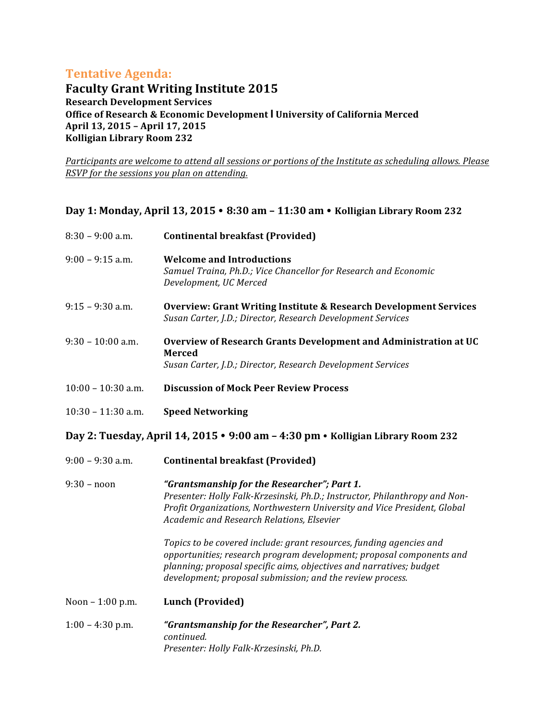## **Tentative Agenda:**

**Faculty Grant Writing Institute 2015 Research Development Services Office of Research & Economic Development I University of California Merced April 13, 2015 – April 17, 2015 Kolligian Library Room 232**

*Participants are welcome to attend all sessions or portions of the Institute as scheduling allows. Please RSVP* for the sessions you plan on attending.

## Day 1: Monday, April 13, 2015 • 8:30 am - 11:30 am • Kolligian Library Room 232

| $8:30 - 9:00$ a.m.   | <b>Continental breakfast (Provided)</b>                                                                                                                                                                                                                                         |
|----------------------|---------------------------------------------------------------------------------------------------------------------------------------------------------------------------------------------------------------------------------------------------------------------------------|
| 9:00 - 9:15 a.m.     | <b>Welcome and Introductions</b><br>Samuel Traina, Ph.D.; Vice Chancellor for Research and Economic<br>Development, UC Merced                                                                                                                                                   |
| $9:15 - 9:30$ a.m.   | Overview: Grant Writing Institute & Research Development Services<br>Susan Carter, J.D.; Director, Research Development Services                                                                                                                                                |
| $9:30 - 10:00$ a.m.  | Overview of Research Grants Development and Administration at UC<br><b>Merced</b><br>Susan Carter, J.D.; Director, Research Development Services                                                                                                                                |
| $10:00 - 10:30$ a.m. | <b>Discussion of Mock Peer Review Process</b>                                                                                                                                                                                                                                   |
| $10:30 - 11:30$ a.m. | <b>Speed Networking</b>                                                                                                                                                                                                                                                         |
|                      | Day 2: Tuesday, April 14, 2015 • 9:00 am - 4:30 pm • Kolligian Library Room 232                                                                                                                                                                                                 |
| 9:00 - 9:30 a.m.     | <b>Continental breakfast (Provided)</b>                                                                                                                                                                                                                                         |
| 9:30 - noon          | "Grantsmanship for the Researcher"; Part 1.<br>Presenter: Holly Falk-Krzesinski, Ph.D.; Instructor, Philanthropy and Non-<br>Profit Organizations, Northwestern University and Vice President, Global<br>Academic and Research Relations, Elsevier                              |
|                      | Topics to be covered include: grant resources, funding agencies and<br>opportunities; research program development; proposal components and<br>planning; proposal specific aims, objectives and narratives; budget<br>development; proposal submission; and the review process. |
| Noon - 1:00 p.m.     | <b>Lunch (Provided)</b>                                                                                                                                                                                                                                                         |
| $1:00 - 4:30$ p.m.   | "Grantsmanship for the Researcher", Part 2.<br>continued.<br>Presenter: Holly Falk-Krzesinski, Ph.D.                                                                                                                                                                            |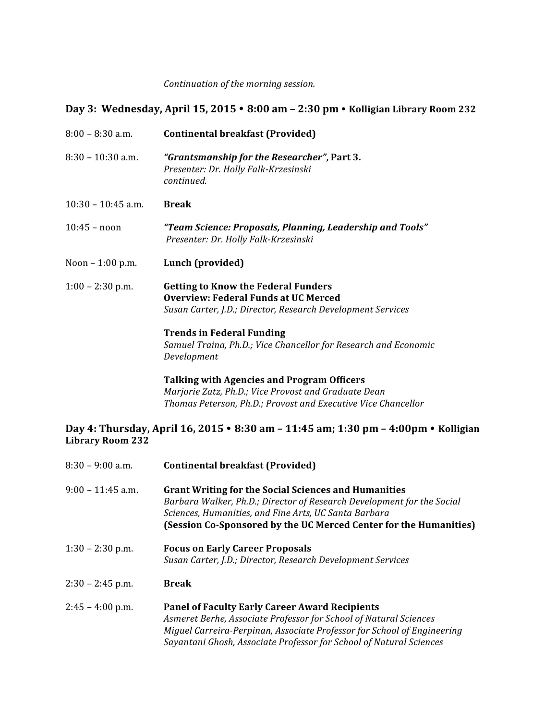*Continuation of the morning session.* 

## Day 3: Wednesday, April 15, 2015 • 8:00 am - 2:30 pm • Kolligian Library Room 232

| $8:00 - 8:30$ a.m.      | <b>Continental breakfast (Provided)</b>                                                                                                                                                                                                                             |  |
|-------------------------|---------------------------------------------------------------------------------------------------------------------------------------------------------------------------------------------------------------------------------------------------------------------|--|
| $8:30 - 10:30$ a.m.     | "Grantsmanship for the Researcher", Part 3.<br>Presenter: Dr. Holly Falk-Krzesinski<br>continued.                                                                                                                                                                   |  |
| $10:30 - 10:45$ a.m.    | <b>Break</b>                                                                                                                                                                                                                                                        |  |
| $10:45 - noon$          | "Team Science: Proposals, Planning, Leadership and Tools"<br>Presenter: Dr. Holly Falk-Krzesinski                                                                                                                                                                   |  |
| Noon $-1:00$ p.m.       | Lunch (provided)                                                                                                                                                                                                                                                    |  |
| $1:00 - 2:30$ p.m.      | <b>Getting to Know the Federal Funders</b><br><b>Overview: Federal Funds at UC Merced</b><br>Susan Carter, J.D.; Director, Research Development Services                                                                                                            |  |
|                         | <b>Trends in Federal Funding</b><br>Samuel Traina, Ph.D.; Vice Chancellor for Research and Economic<br>Development                                                                                                                                                  |  |
|                         | <b>Talking with Agencies and Program Officers</b><br>Marjorie Zatz, Ph.D.; Vice Provost and Graduate Dean<br>Thomas Peterson, Ph.D.; Provost and Executive Vice Chancellor                                                                                          |  |
| <b>Library Room 232</b> | Day 4: Thursday, April 16, 2015 • 8:30 am - 11:45 am; 1:30 pm - 4:00pm • Kolligian                                                                                                                                                                                  |  |
| $8:30 - 9:00$ a.m.      | <b>Continental breakfast (Provided)</b>                                                                                                                                                                                                                             |  |
| $9:00 - 11:45$ a.m.     | <b>Grant Writing for the Social Sciences and Humanities</b><br>Barbara Walker, Ph.D.; Director of Research Development for the Social<br>Sciences, Humanities, and Fine Arts, UC Santa Barbara<br>(Session Co-Sponsored by the UC Merced Center for the Humanities) |  |
| $1:30 - 2:30$ p.m.      | <b>Focus on Early Career Proposals</b><br>Susan Carter, J.D.; Director, Research Development Services                                                                                                                                                               |  |
| $2:30 - 2:45$ p.m.      | <b>Break</b>                                                                                                                                                                                                                                                        |  |
| $2:45 - 4:00$ p.m.      | <b>Panel of Faculty Early Career Award Recipients</b>                                                                                                                                                                                                               |  |

*Asmeret Berhe, Associate Professor for School of Natural Sciences Miguel Carreira-Perpinan, Associate Professor for School of Engineering* Sayantani Ghosh, Associate Professor for School of Natural Sciences